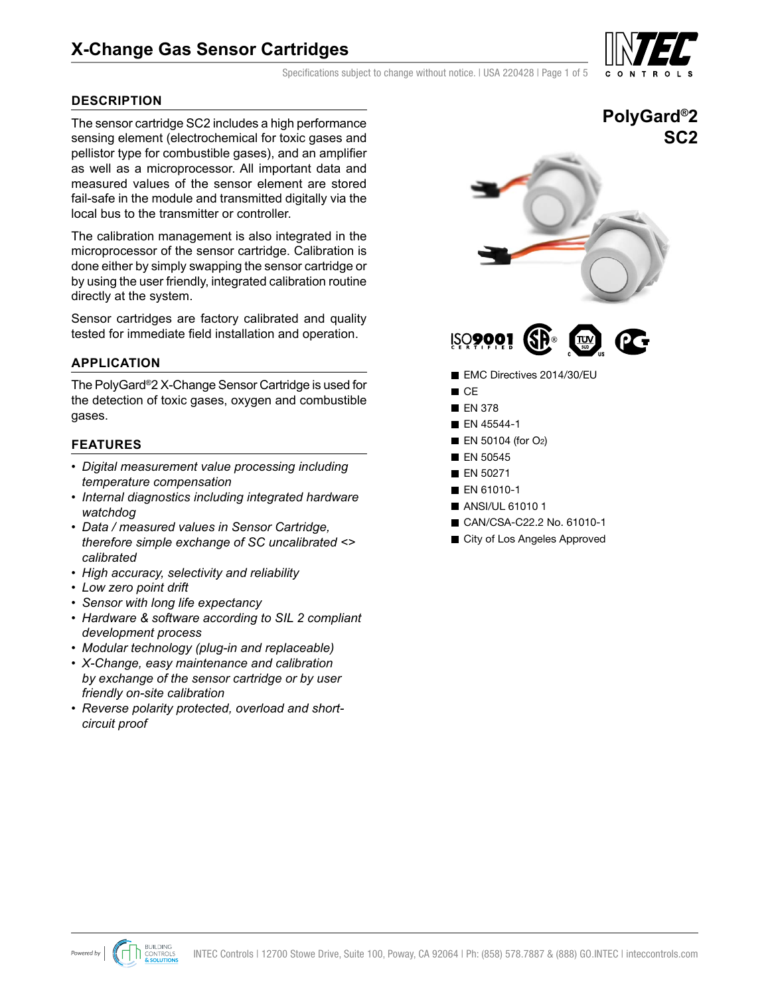# **X-Change Gas Sensor Cartridges**

Specifications subject to change without notice. I USA 220428 I Page 1 of 5

# **DESCRIPTION**

The sensor cartridge SC2 includes a high performance sensing element (electrochemical for toxic gases and pellistor type for combustible gases), and an amplifier as well as a microprocessor. All important data and measured values of the sensor element are stored fail-safe in the module and transmitted digitally via the local bus to the transmitter or controller.

The calibration management is also integrated in the microprocessor of the sensor cartridge. Calibration is done either by simply swapping the sensor cartridge or by using the user friendly, integrated calibration routine directly at the system.

Sensor cartridges are factory calibrated and quality tested for immediate field installation and operation.

# **APPLICATION**

The PolyGard®2 X-Change Sensor Cartridge is used for the detection of toxic gases, oxygen and combustible gases.

### **FEATURES**

- *• Digital measurement value processing including temperature compensation*
- *• Internal diagnostics including integrated hardware watchdog*
- *• Data / measured values in Sensor Cartridge, therefore simple exchange of SC uncalibrated <> calibrated*
- *• High accuracy, selectivity and reliability*
- *• Low zero point drift*
- *• Sensor with long life expectancy*
- *• Hardware & software according to SIL 2 compliant development process*
- *• Modular technology (plug-in and replaceable)*
- *• X-Change, easy maintenance and calibration by exchange of the sensor cartridge or by user friendly on-site calibration*
- *• Reverse polarity protected, overload and shortcircuit proof*





- EMC Directives 2014/30/EU
- $C<sub>E</sub>$
- **EN 378**
- **EN 45544-1**
- $\blacksquare$  EN 50104 (for O<sub>2</sub>)
- $\blacksquare$  EN 50545
- **EN 50271**
- **EN 61010-1**
- **ANSI/UL 610101**
- CAN/CSA-C22.2 No. 61010-1
- City of Los Angeles Approved





**PolyGard®2**

**SC2**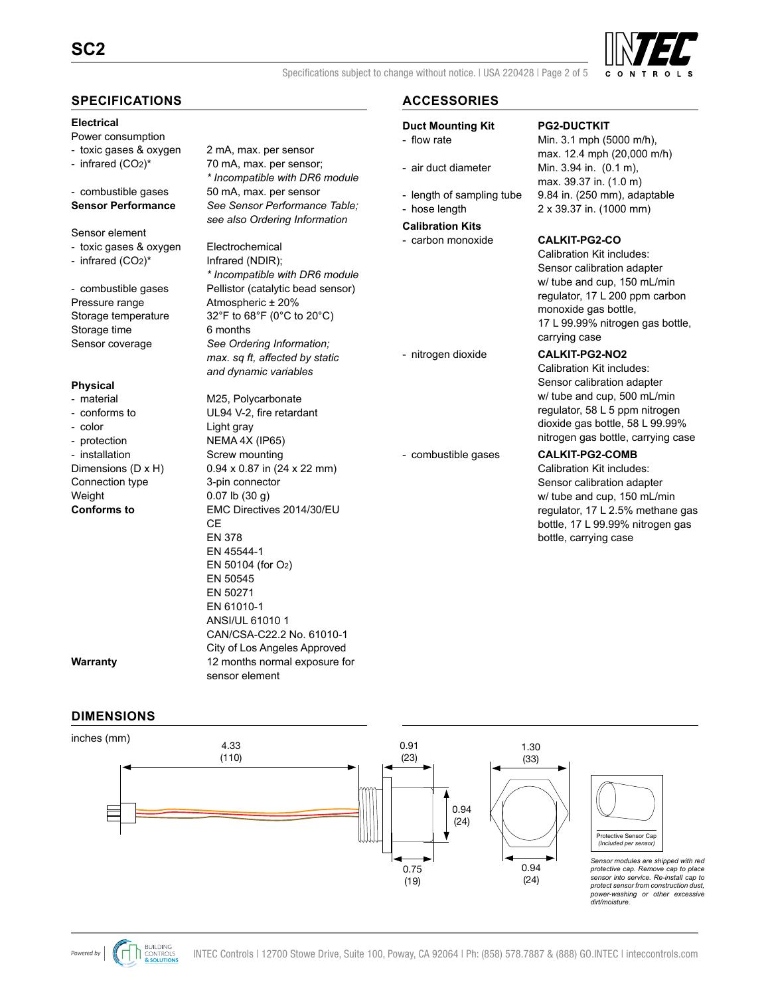# **SC2**



Specifications subject to change without notice. | USA 220428 | Page 2 of 5

## **SPECIFICATIONS**

### **Electrical**

- Power consumption
- toxic gases & oxygen 2 mA, max. per sensor
- 
- 
- Sensor element
- toxic gases & oxygen Electrochemical
- infrared  $(CO2)^*$  Infrared (NDIR);

Pressure range Atmospheric ± 20% Storage time 6 months

### **Physical**

- color Color Color Light gray - protection NEMA 4X (IP65) - installation Screw mounting Connection type 3-pin connector Weight 0.07 lb (30 g)

- infrared (CO2)\* 70 mA, max. per sensor; *\* Incompatible with DR6 module* - combustible gases 50 mA, max. per sensor **Sensor Performance** *See Sensor Performance Table; see also Ordering Information*

*\* Incompatible with DR6 module* - combustible gases Pellistor (catalytic bead sensor) Storage temperature 32°F to 68°F (0°C to 20°C) Sensor coverage *See Ordering Information; max. sq ft, affected by static and dynamic variables*

- material M25, Polycarbonate - conforms to UL94 V-2, fire retardant Dimensions (D x H) 0.94 x 0.87 in (24 x 22 mm) **Conforms to** EMC Directives 2014/30/EU CE EN 378 EN 45544-1 EN 50104 (for O2) EN 50545 EN 50271 EN 61010-1 ANSI/UL 61010 1 CAN/CSA-C22.2 No. 61010-1 City of Los Angeles Approved **Warranty** 12 months normal exposure for sensor element

# **ACCESSORIES**

### **Duct Mounting Kit PG2-DUCTKIT**

- 
- 
- 
- **Calibration Kits**
- carbon monoxide **CALKIT-PG2-CO**

- flow rate Min. 3.1 mph (5000 m/h), max. 12.4 mph (20,000 m/h) - air duct diameter Min. 3.94 in. (0.1 m), max. 39.37 in. (1.0 m) - length of sampling tube 9.84 in. (250 mm), adaptable - hose length 2 x 39.37 in. (1000 mm)

Calibration Kit includes: Sensor calibration adapter w/ tube and cup, 150 mL/min regulator, 17 L 200 ppm carbon monoxide gas bottle, 17 L 99.99% nitrogen gas bottle, carrying case

### - nitrogen dioxide **CALKIT-PG2-NO2**

Calibration Kit includes: Sensor calibration adapter w/ tube and cup, 500 mL/min regulator, 58 L 5 ppm nitrogen dioxide gas bottle, 58 L 99.99% nitrogen gas bottle, carrying case

### - combustible gases **CALKIT-PG2-COMB**

Calibration Kit includes: Sensor calibration adapter w/ tube and cup, 150 mL/min regulator, 17 L 2.5% methane gas bottle, 17 L 99.99% nitrogen gas bottle, carrying case

# **DIMENSIONS**

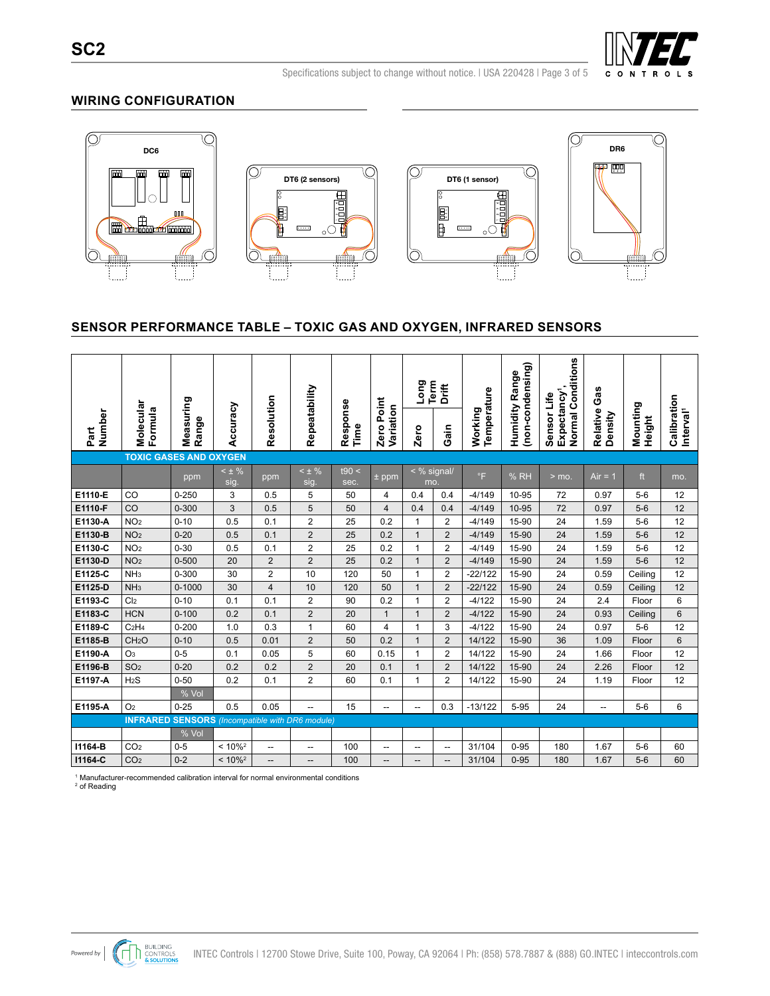

Specifications subject to change without notice. I USA 220428 I Page 3 of 5

### **WIRING CONFIGURATION**



# **SENSOR PERFORMANCE TABLE – TOXIC GAS AND OXYGEN, INFRARED SENSORS**

|                |                                                        |                    |                       |                |                    |                  |                            | Long                     | Term<br><b>Drift</b> |                        | (non-condensing)<br>Range | Normal Conditions                      | Gas                 |                    |                                      |
|----------------|--------------------------------------------------------|--------------------|-----------------------|----------------|--------------------|------------------|----------------------------|--------------------------|----------------------|------------------------|---------------------------|----------------------------------------|---------------------|--------------------|--------------------------------------|
| Number<br>Part | Molecular<br>Formula                                   | Measuring<br>Range | Accuracy              | Resolution     | Repeatability      | Response<br>Time | Point<br>Variation<br>Zero | Zero                     | Gain                 | Temperature<br>Working | Humidity                  | Expectancy <sup>1</sup><br>Sensor Life | Relative<br>Density | Mounting<br>Height | Calibration<br>Interval <sup>1</sup> |
|                | <b>TOXIC GASES AND OXYGEN</b>                          |                    |                       |                |                    |                  |                            |                          |                      |                        |                           |                                        |                     |                    |                                      |
|                |                                                        | ppm                | $< \pm \%$<br>sig.    | ppm            | $< \pm \%$<br>sig. | t90 <<br>sec.    | $±$ ppm                    |                          | < % signal/<br>mo.   | $\degree$ F            | % RH                      | $>$ mo.                                | $Air = 1$           | ft                 | mo.                                  |
| E1110-E        | CO                                                     | $0 - 250$          | 3                     | 0.5            | 5                  | 50               | 4                          | 0.4                      | 0.4                  | $-4/149$               | 10-95                     | 72                                     | 0.97                | $5-6$              | 12                                   |
| E1110-F        | CO                                                     | $0 - 300$          | 3                     | 0.5            | 5                  | 50               | $\overline{4}$             | 0.4                      | 0.4                  | $-4/149$               | 10-95                     | 72                                     | 0.97                | $5-6$              | 12                                   |
| E1130-A        | NO <sub>2</sub>                                        | $0 - 10$           | 0.5                   | 0.1            | $\overline{2}$     | 25               | 0.2                        | 1                        | $\overline{2}$       | $-4/149$               | 15-90                     | 24                                     | 1.59                | $5-6$              | 12                                   |
| E1130-B        | NO <sub>2</sub>                                        | $0 - 20$           | 0.5                   | 0.1            | $\overline{c}$     | 25               | 0.2                        | $\mathbf{1}$             | $\overline{2}$       | $-4/149$               | 15-90                     | 24                                     | 1.59                | $5-6$              | 12                                   |
| E1130-C        | NO <sub>2</sub>                                        | $0 - 30$           | 0.5                   | 0.1            | $\overline{2}$     | 25               | 0.2                        | 1                        | $\overline{2}$       | $-4/149$               | 15-90                     | 24                                     | 1.59                | $5-6$              | 12                                   |
| E1130-D        | NO <sub>2</sub>                                        | $0 - 500$          | 20                    | $\overline{2}$ | $\overline{2}$     | 25               | 0.2                        | $\mathbf{1}$             | $\overline{2}$       | $-4/149$               | 15-90                     | 24                                     | 1.59                | $5-6$              | 12                                   |
| E1125-C        | NH <sub>3</sub>                                        | 0-300              | 30                    | $\overline{2}$ | 10                 | 120              | 50                         | 1                        | $\overline{2}$       | $-22/122$              | 15-90                     | 24                                     | 0.59                | Ceiling            | 12                                   |
| E1125-D        | NH <sub>3</sub>                                        | $0 - 1000$         | 30                    | $\overline{4}$ | 10                 | 120              | 50                         | $\mathbf{1}$             | $\overline{2}$       | $-22/122$              | 15-90                     | 24                                     | 0.59                | Ceiling            | 12                                   |
| E1193-C        | Cl <sub>2</sub>                                        | $0 - 10$           | 0.1                   | 0.1            | $\overline{2}$     | 90               | 0.2                        | 1                        | $\overline{2}$       | $-4/122$               | 15-90                     | 24                                     | 2.4                 | Floor              | 6                                    |
| E1183-C        | <b>HCN</b>                                             | $0 - 100$          | 0.2                   | 0.1            | $\overline{2}$     | 20               | $\mathbf 1$                | $\mathbf{1}$             | $\overline{2}$       | $-4/122$               | 15-90                     | 24                                     | 0.93                | Ceiling            | $6\phantom{1}$                       |
| E1189-C        | C <sub>2</sub> H <sub>4</sub>                          | $0 - 200$          | 1.0                   | 0.3            | $\mathbf{1}$       | 60               | $\overline{4}$             | 1                        | 3                    | $-4/122$               | 15-90                     | 24                                     | 0.97                | $5-6$              | 12                                   |
| E1185-B        | CH <sub>2</sub> O                                      | $0 - 10$           | 0.5                   | 0.01           | $\overline{2}$     | 50               | 0.2                        | $\mathbf{1}$             | $\overline{2}$       | 14/122                 | 15-90                     | 36                                     | 1.09                | Floor              | 6                                    |
| E1190-A        | O <sub>3</sub>                                         | $0 - 5$            | 0.1                   | 0.05           | 5                  | 60               | 0.15                       | $\mathbf 1$              | $\overline{2}$       | 14/122                 | 15-90                     | 24                                     | 1.66                | Floor              | 12                                   |
| E1196-B        | SO <sub>2</sub>                                        | $0 - 20$           | 0.2                   | 0.2            | $\overline{2}$     | 20               | 0.1                        | $\mathbf{1}$             | $\overline{2}$       | 14/122                 | 15-90                     | 24                                     | 2.26                | Floor              | 12                                   |
| E1197-A        | H <sub>2</sub> S                                       | $0 - 50$           | 0.2                   | 0.1            | $\overline{2}$     | 60               | 0.1                        | 1                        | $\overline{2}$       | 14/122                 | 15-90                     | 24                                     | 1.19                | Floor              | 12                                   |
|                |                                                        | % Vol              |                       |                |                    |                  |                            |                          |                      |                        |                           |                                        |                     |                    |                                      |
| E1195-A        | O <sub>2</sub>                                         | $0 - 25$           | 0.5                   | 0.05           | --                 | 15               | --                         | $\overline{\phantom{0}}$ | 0.3                  | $-13/122$              | $5 - 95$                  | 24                                     | -−                  | $5-6$              | 6                                    |
|                | <b>INFRARED SENSORS</b> (Incompatible with DR6 module) |                    |                       |                |                    |                  |                            |                          |                      |                        |                           |                                        |                     |                    |                                      |
|                |                                                        | % Vol              |                       |                |                    |                  |                            |                          |                      |                        |                           |                                        |                     |                    |                                      |
| 11164-B        | CO <sub>2</sub>                                        | $0 - 5$            | $< 10\%^2$            | --             | --                 | 100              | --                         | --                       | --                   | 31/104                 | $0 - 95$                  | 180                                    | 1.67                | $5-6$              | 60                                   |
| 11164-C        | CO <sub>2</sub>                                        | $0 - 2$            | $< 10\%$ <sup>2</sup> | --             | --                 | 100              | --                         | --                       | --                   | 31/104                 | $0 - 95$                  | 180                                    | 1.67                | $5-6$              | 60                                   |

1 Manufacturer-recommended calibration interval for normal environmental conditions

 $^2$  of Reading

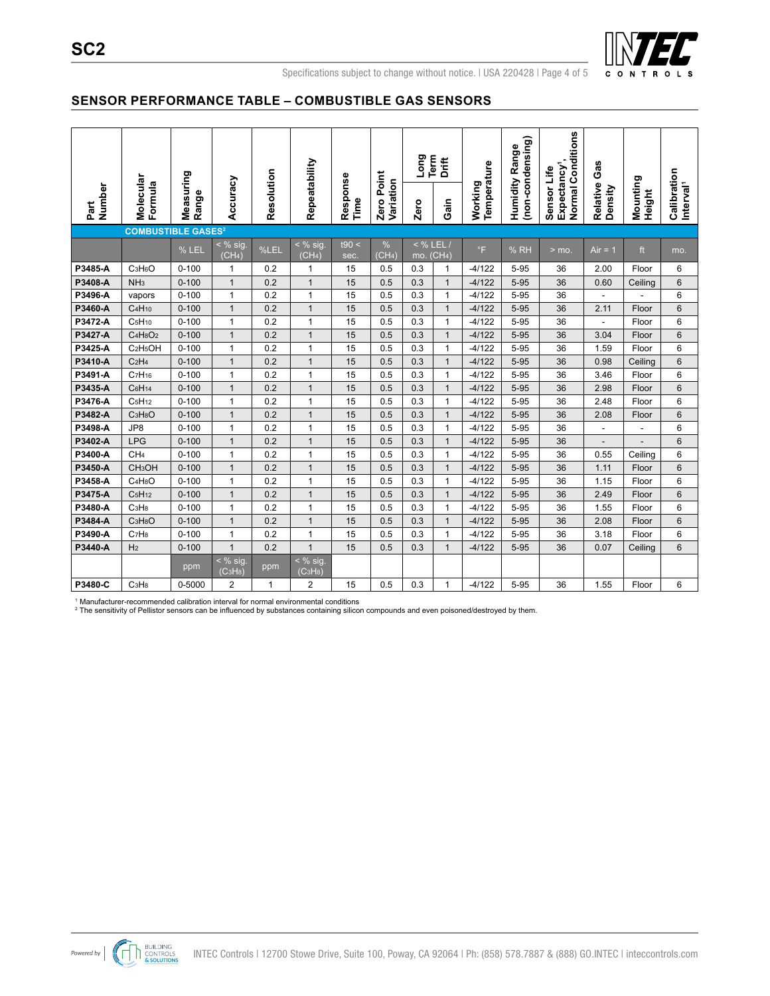

Specifications subject to change without notice. I USA 220428 I Page 4 of 5

### **SENSOR PERFORMANCE TABLE – COMBUSTIBLE GAS SENSORS**

|                                      |                                  |                    |                                                |            | Repeatability                                            |                  | Point                   | Long                                                      | Term<br>Drift | Temperature | (non-condensing)<br>Range | Normal Conditions                      | Gas                 |                    |                                      |
|--------------------------------------|----------------------------------|--------------------|------------------------------------------------|------------|----------------------------------------------------------|------------------|-------------------------|-----------------------------------------------------------|---------------|-------------|---------------------------|----------------------------------------|---------------------|--------------------|--------------------------------------|
| Number<br>Part                       | Molecular<br>Formula             | Measuring<br>Range | Accuracy                                       | Resolution |                                                          | Response<br>Time | Variation<br>Zero       | Zero                                                      | Gain          | Working     | Humidity                  | Expectancy <sup>1</sup><br>Sensor Life | Relative<br>Density | Mounting<br>Height | Calibration<br>Interval <sup>1</sup> |
| <b>COMBUSTIBLE GASES<sup>2</sup></b> |                                  |                    |                                                |            |                                                          |                  |                         |                                                           |               |             |                           |                                        |                     |                    |                                      |
|                                      |                                  | % LEL              | $\frac{8}{10}$ sig.<br>(CH <sub>4</sub> )      | %LEL       | $\leq$ % sig.<br>(CH <sub>4</sub> )                      | t90 <<br>sec.    | %<br>(CH <sub>4</sub> ) | $<$ % LEL<br>$\overline{\mathsf{mo.}}$ (CH <sub>4</sub> ) |               | $\circ$ F   | % RH                      | $>$ mo.                                | $Air = 1$           | ft                 | mo.                                  |
| P3485-A                              | C <sub>3</sub> H <sub>6</sub> O  | $0 - 100$          | $\mathbf{1}$                                   | 0.2        | 1                                                        | 15               | 0.5                     | 0.3                                                       | 1             | $-4/122$    | $5 - 95$                  | 36                                     | 2.00                | Floor              | 6                                    |
| P3408-A                              | NH <sub>3</sub>                  | $0 - 100$          | $\mathbf{1}$                                   | 0.2        | $\mathbf{1}$                                             | 15               | 0.5                     | 0.3                                                       | $\mathbf{1}$  | $-4/122$    | $5 - 95$                  | 36                                     | 0.60                | Ceiling            | 6                                    |
| P3496-A                              | vapors                           | $0 - 100$          | $\mathbf{1}$                                   | 0.2        | $\mathbf{1}$                                             | 15               | 0.5                     | 0.3                                                       | $\mathbf{1}$  | $-4/122$    | 5-95                      | 36                                     | ÷,                  |                    | 6                                    |
| P3460-A                              | C <sub>4</sub> H <sub>10</sub>   | $0 - 100$          | $\mathbf{1}$                                   | 0.2        | $\mathbf{1}$                                             | 15               | 0.5                     | 0.3                                                       | $\mathbf{1}$  | $-4/122$    | $5 - 95$                  | 36                                     | 2.11                | Floor              | 6                                    |
| P3472-A                              | C <sub>5</sub> H <sub>10</sub>   | $0 - 100$          | $\mathbf{1}$                                   | 0.2        | 1                                                        | 15               | 0.5                     | 0.3                                                       | 1             | $-4/122$    | $5 - 95$                  | 36                                     | L.                  | Floor              | 6                                    |
| P3427-A                              | $C_4H_8O_2$                      | $0 - 100$          | $\mathbf{1}$                                   | 0.2        | $\mathbf{1}$                                             | 15               | 0.5                     | 0.3                                                       | $\mathbf{1}$  | $-4/122$    | $5 - 95$                  | 36                                     | 3.04                | Floor              | 6                                    |
| P3425-A                              | C <sub>2</sub> H <sub>5</sub> OH | $0 - 100$          | $\mathbf{1}$                                   | 0.2        | 1                                                        | 15               | 0.5                     | 0.3                                                       | 1             | $-4/122$    | $5 - 95$                  | 36                                     | 1.59                | Floor              | 6                                    |
| P3410-A                              | C <sub>2</sub> H <sub>4</sub>    | $0 - 100$          | $\mathbf{1}$                                   | 0.2        | $\mathbf{1}$                                             | 15               | 0.5                     | 0.3                                                       | $\mathbf{1}$  | $-4/122$    | $5 - 95$                  | 36                                     | 0.98                | Ceiling            | 6                                    |
| P3491-A                              | C <sub>7</sub> H <sub>16</sub>   | $0 - 100$          | $\mathbf{1}$                                   | 0.2        | 1                                                        | 15               | 0.5                     | 0.3                                                       | $\mathbf{1}$  | $-4/122$    | 5-95                      | 36                                     | 3.46                | Floor              | 6                                    |
| P3435-A                              | C <sub>6</sub> H <sub>14</sub>   | $0 - 100$          | $\mathbf{1}$                                   | 0.2        | $\mathbf{1}$                                             | 15               | 0.5                     | 0.3                                                       | $\mathbf{1}$  | $-4/122$    | $5 - 95$                  | 36                                     | 2.98                | Floor              | 6                                    |
| P3476-A                              | C <sub>5</sub> H <sub>12</sub>   | $0 - 100$          | $\mathbf{1}$                                   | 0.2        | 1                                                        | 15               | 0.5                     | 0.3                                                       | 1             | $-4/122$    | $5 - 95$                  | 36                                     | 2.48                | Floor              | 6                                    |
| P3482-A                              | C <sub>3</sub> H <sub>8</sub> O  | $0 - 100$          | $\mathbf{1}$                                   | 0.2        | $\mathbf{1}$                                             | 15               | 0.5                     | 0.3                                                       | $\mathbf{1}$  | $-4/122$    | $5 - 95$                  | 36                                     | 2.08                | Floor              | 6                                    |
| P3498-A                              | JP8                              | $0 - 100$          | $\mathbf{1}$                                   | 0.2        | 1                                                        | 15               | 0.5                     | 0.3                                                       | 1             | $-4/122$    | 5-95                      | 36                                     | ÷,                  |                    | 6                                    |
| P3402-A                              | <b>LPG</b>                       | $0 - 100$          | $\mathbf{1}$                                   | 0.2        | $\mathbf{1}$                                             | 15               | 0.5                     | 0.3                                                       | $\mathbf{1}$  | $-4/122$    | $5 - 95$                  | 36                                     | $\overline{a}$      |                    | 6                                    |
| P3400-A                              | CH <sub>4</sub>                  | $0 - 100$          | $\mathbf{1}$                                   | 0.2        | 1                                                        | 15               | 0.5                     | 0.3                                                       | $\mathbf{1}$  | $-4/122$    | $5 - 95$                  | 36                                     | 0.55                | Ceiling            | 6                                    |
| P3450-A                              | CH <sub>3</sub> OH               | $0 - 100$          | $\mathbf{1}$                                   | 0.2        | $\mathbf{1}$                                             | 15               | 0.5                     | 0.3                                                       | $\mathbf{1}$  | $-4/122$    | $5 - 95$                  | 36                                     | 1.11                | Floor              | 6                                    |
| P3458-A                              | C <sub>4</sub> H <sub>8</sub> O  | $0 - 100$          | $\mathbf{1}$                                   | 0.2        | 1                                                        | 15               | 0.5                     | 0.3                                                       | $\mathbf{1}$  | $-4/122$    | $5 - 95$                  | 36                                     | 1.15                | Floor              | 6                                    |
| P3475-A                              | C <sub>5</sub> H <sub>12</sub>   | $0 - 100$          | $\mathbf{1}$                                   | 0.2        | $\mathbf{1}$                                             | 15               | 0.5                     | 0.3                                                       | $\mathbf{1}$  | $-4/122$    | $5 - 95$                  | 36                                     | 2.49                | Floor              | 6                                    |
| P3480-A                              | C <sub>3</sub> H <sub>8</sub>    | $0 - 100$          | $\mathbf{1}$                                   | 0.2        | 1                                                        | 15               | 0.5                     | 0.3                                                       | $\mathbf{1}$  | $-4/122$    | $5 - 95$                  | 36                                     | 1.55                | Floor              | 6                                    |
| P3484-A                              | C <sub>3</sub> H <sub>8</sub> O  | $0 - 100$          | $\mathbf{1}$                                   | 0.2        | $\mathbf{1}$                                             | 15               | 0.5                     | 0.3                                                       | $\mathbf{1}$  | $-4/122$    | 5-95                      | 36                                     | 2.08                | Floor              | 6                                    |
| P3490-A                              | C <sub>7</sub> H <sub>8</sub>    | $0 - 100$          | $\mathbf{1}$                                   | 0.2        | 1                                                        | 15               | 0.5                     | 0.3                                                       | 1             | $-4/122$    | $5 - 95$                  | 36                                     | 3.18                | Floor              | 6                                    |
| P3440-A                              | H <sub>2</sub>                   | $0 - 100$          | $\mathbf{1}$                                   | 0.2        | $\mathbf{1}$                                             | 15               | 0.5                     | 0.3                                                       | $\mathbf{1}$  | $-4/122$    | $5 - 95$                  | 36                                     | 0.07                | Ceiling            | 6                                    |
|                                      |                                  | ppm                | $<$ % sig.<br>(C <sub>3</sub> H <sub>8</sub> ) | ppm        | $\frac{1}{2}$ % sig.<br>(C <sub>3</sub> H <sub>8</sub> ) |                  |                         |                                                           |               |             |                           |                                        |                     |                    |                                      |
| P3480-C                              | C <sub>3</sub> H <sub>8</sub>    | 0-5000             | $\overline{2}$                                 | 1          | 2                                                        | 15               | 0.5                     | 0.3                                                       | 1             | $-4/122$    | 5-95                      | 36                                     | 1.55                | Floor              | 6                                    |

1 Manufacturer-recommended calibration interval for normal environmental conditions 2 The sensitivity of Pellistor sensors can be influenced by substances containing silicon compounds and even poisoned/destroyed by them.